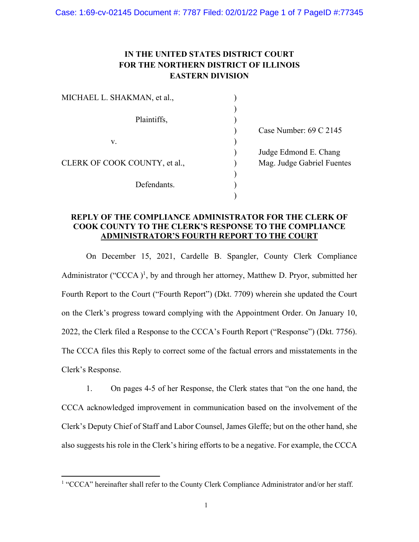## **IN THE UNITED STATES DISTRICT COURT FOR THE NORTHERN DISTRICT OF ILLINOIS EASTERN DIVISION**

| MICHAEL L. SHAKMAN, et al.,   |                                   |
|-------------------------------|-----------------------------------|
|                               |                                   |
| Plaintiffs,                   |                                   |
|                               | Case Number: $69 \text{ C } 2145$ |
| V.                            |                                   |
|                               | Judge Edmond E. Chang             |
| CLERK OF COOK COUNTY, et al., | Mag. Judge Gabriel Fuentes        |
|                               |                                   |
| Defendants.                   |                                   |
|                               |                                   |

## **REPLY OF THE COMPLIANCE ADMINISTRATOR FOR THE CLERK OF COOK COUNTY TO THE CLERK'S RESPONSE TO THE COMPLIANCE ADMINISTRATOR'S FOURTH REPORT TO THE COURT**

On December 15, 2021, Cardelle B. Spangler, County Clerk Compliance Administrator ("CCCA)<sup>1</sup>, by and through her attorney, Matthew D. Pryor, submitted her Fourth Report to the Court ("Fourth Report") (Dkt. 7709) wherein she updated the Court on the Clerk's progress toward complying with the Appointment Order. On January 10, 2022, the Clerk filed a Response to the CCCA's Fourth Report ("Response") (Dkt. 7756). The CCCA files this Reply to correct some of the factual errors and misstatements in the Clerk's Response.

1. On pages 4-5 of her Response, the Clerk states that "on the one hand, the CCCA acknowledged improvement in communication based on the involvement of the Clerk's Deputy Chief of Staff and Labor Counsel, James Gleffe; but on the other hand, she also suggests his role in the Clerk's hiring efforts to be a negative. For example, the CCCA

<sup>&</sup>lt;sup>1</sup> "CCCA" hereinafter shall refer to the County Clerk Compliance Administrator and/or her staff.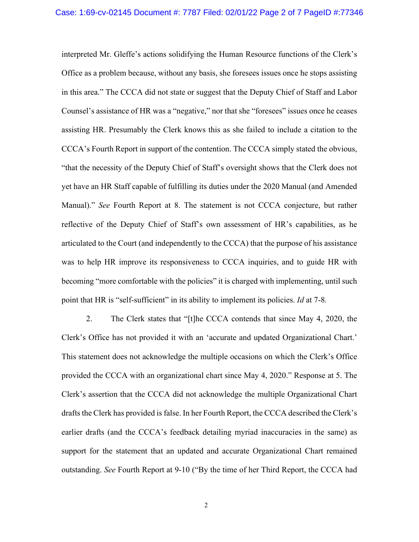interpreted Mr. Gleffe's actions solidifying the Human Resource functions of the Clerk's Office as a problem because, without any basis, she foresees issues once he stops assisting in this area." The CCCA did not state or suggest that the Deputy Chief of Staff and Labor Counsel's assistance of HR was a "negative," nor that she "foresees" issues once he ceases assisting HR. Presumably the Clerk knows this as she failed to include a citation to the CCCA's Fourth Report in support of the contention. The CCCA simply stated the obvious, "that the necessity of the Deputy Chief of Staff's oversight shows that the Clerk does not yet have an HR Staff capable of fulfilling its duties under the 2020 Manual (and Amended Manual)." *See* Fourth Report at 8. The statement is not CCCA conjecture, but rather reflective of the Deputy Chief of Staff's own assessment of HR's capabilities, as he articulated to the Court (and independently to the CCCA) that the purpose of his assistance was to help HR improve its responsiveness to CCCA inquiries, and to guide HR with becoming "more comfortable with the policies" it is charged with implementing, until such point that HR is "self-sufficient" in its ability to implement its policies. *Id* at 7-8*.* 

2. The Clerk states that "[t]he CCCA contends that since May 4, 2020, the Clerk's Office has not provided it with an 'accurate and updated Organizational Chart.' This statement does not acknowledge the multiple occasions on which the Clerk's Office provided the CCCA with an organizational chart since May 4, 2020." Response at 5. The Clerk's assertion that the CCCA did not acknowledge the multiple Organizational Chart drafts the Clerk has provided is false. In her Fourth Report, the CCCA described the Clerk's earlier drafts (and the CCCA's feedback detailing myriad inaccuracies in the same) as support for the statement that an updated and accurate Organizational Chart remained outstanding. *See* Fourth Report at 9-10 ("By the time of her Third Report, the CCCA had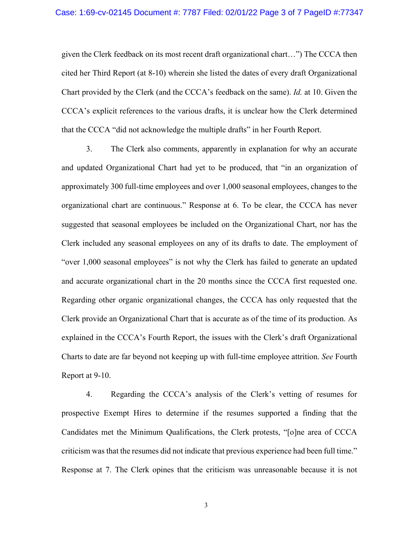## Case: 1:69-cv-02145 Document #: 7787 Filed: 02/01/22 Page 3 of 7 PageID #:77347

given the Clerk feedback on its most recent draft organizational chart…") The CCCA then cited her Third Report (at 8-10) wherein she listed the dates of every draft Organizational Chart provided by the Clerk (and the CCCA's feedback on the same). *Id.* at 10. Given the CCCA's explicit references to the various drafts, it is unclear how the Clerk determined that the CCCA "did not acknowledge the multiple drafts" in her Fourth Report.

3. The Clerk also comments, apparently in explanation for why an accurate and updated Organizational Chart had yet to be produced, that "in an organization of approximately 300 full-time employees and over 1,000 seasonal employees, changes to the organizational chart are continuous." Response at 6. To be clear, the CCCA has never suggested that seasonal employees be included on the Organizational Chart, nor has the Clerk included any seasonal employees on any of its drafts to date. The employment of "over 1,000 seasonal employees" is not why the Clerk has failed to generate an updated and accurate organizational chart in the 20 months since the CCCA first requested one. Regarding other organic organizational changes, the CCCA has only requested that the Clerk provide an Organizational Chart that is accurate as of the time of its production. As explained in the CCCA's Fourth Report, the issues with the Clerk's draft Organizational Charts to date are far beyond not keeping up with full-time employee attrition. *See* Fourth Report at 9-10.

4. Regarding the CCCA's analysis of the Clerk's vetting of resumes for prospective Exempt Hires to determine if the resumes supported a finding that the Candidates met the Minimum Qualifications, the Clerk protests, "[o]ne area of CCCA criticism was that the resumes did not indicate that previous experience had been full time." Response at 7. The Clerk opines that the criticism was unreasonable because it is not

3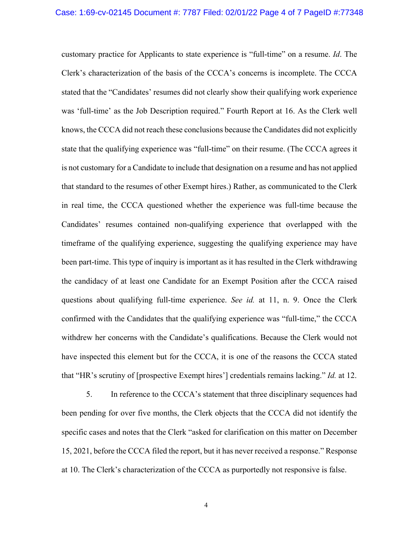customary practice for Applicants to state experience is "full-time" on a resume. *Id*. The Clerk's characterization of the basis of the CCCA's concerns is incomplete. The CCCA stated that the "Candidates' resumes did not clearly show their qualifying work experience was 'full-time' as the Job Description required." Fourth Report at 16. As the Clerk well knows, the CCCA did not reach these conclusions because the Candidates did not explicitly state that the qualifying experience was "full-time" on their resume. (The CCCA agrees it is not customary for a Candidate to include that designation on a resume and has not applied that standard to the resumes of other Exempt hires.) Rather, as communicated to the Clerk in real time, the CCCA questioned whether the experience was full-time because the Candidates' resumes contained non-qualifying experience that overlapped with the timeframe of the qualifying experience, suggesting the qualifying experience may have been part-time. This type of inquiry is important as it has resulted in the Clerk withdrawing the candidacy of at least one Candidate for an Exempt Position after the CCCA raised questions about qualifying full-time experience. *See id.* at 11, n. 9. Once the Clerk confirmed with the Candidates that the qualifying experience was "full-time," the CCCA withdrew her concerns with the Candidate's qualifications. Because the Clerk would not have inspected this element but for the CCCA, it is one of the reasons the CCCA stated that "HR's scrutiny of [prospective Exempt hires'] credentials remains lacking." *Id.* at 12.

5. In reference to the CCCA's statement that three disciplinary sequences had been pending for over five months, the Clerk objects that the CCCA did not identify the specific cases and notes that the Clerk "asked for clarification on this matter on December 15, 2021, before the CCCA filed the report, but it has never received a response." Response at 10. The Clerk's characterization of the CCCA as purportedly not responsive is false.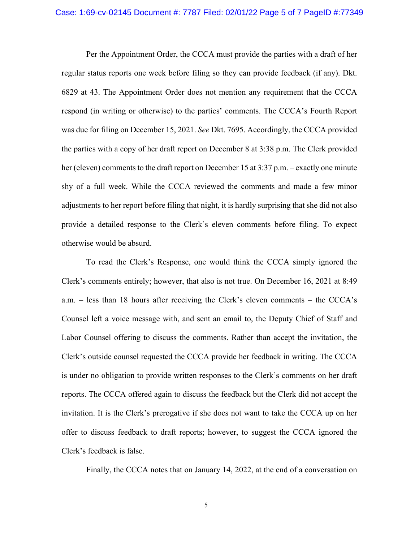## Case: 1:69-cv-02145 Document #: 7787 Filed: 02/01/22 Page 5 of 7 PageID #:77349

Per the Appointment Order, the CCCA must provide the parties with a draft of her regular status reports one week before filing so they can provide feedback (if any). Dkt. 6829 at 43. The Appointment Order does not mention any requirement that the CCCA respond (in writing or otherwise) to the parties' comments. The CCCA's Fourth Report was due for filing on December 15, 2021. *See* Dkt. 7695. Accordingly, the CCCA provided the parties with a copy of her draft report on December 8 at 3:38 p.m. The Clerk provided her (eleven) comments to the draft report on December 15 at 3:37 p.m. – exactly one minute shy of a full week. While the CCCA reviewed the comments and made a few minor adjustments to her report before filing that night, it is hardly surprising that she did not also provide a detailed response to the Clerk's eleven comments before filing. To expect otherwise would be absurd.

To read the Clerk's Response, one would think the CCCA simply ignored the Clerk's comments entirely; however, that also is not true. On December 16, 2021 at 8:49 a.m. – less than 18 hours after receiving the Clerk's eleven comments – the CCCA's Counsel left a voice message with, and sent an email to, the Deputy Chief of Staff and Labor Counsel offering to discuss the comments. Rather than accept the invitation, the Clerk's outside counsel requested the CCCA provide her feedback in writing. The CCCA is under no obligation to provide written responses to the Clerk's comments on her draft reports. The CCCA offered again to discuss the feedback but the Clerk did not accept the invitation. It is the Clerk's prerogative if she does not want to take the CCCA up on her offer to discuss feedback to draft reports; however, to suggest the CCCA ignored the Clerk's feedback is false.

Finally, the CCCA notes that on January 14, 2022, at the end of a conversation on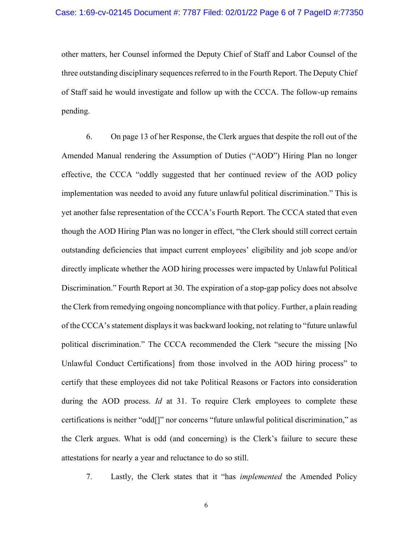other matters, her Counsel informed the Deputy Chief of Staff and Labor Counsel of the three outstanding disciplinary sequences referred to in the Fourth Report. The Deputy Chief of Staff said he would investigate and follow up with the CCCA. The follow-up remains pending.

6. On page 13 of her Response, the Clerk argues that despite the roll out of the Amended Manual rendering the Assumption of Duties ("AOD") Hiring Plan no longer effective, the CCCA "oddly suggested that her continued review of the AOD policy implementation was needed to avoid any future unlawful political discrimination." This is yet another false representation of the CCCA's Fourth Report. The CCCA stated that even though the AOD Hiring Plan was no longer in effect, "the Clerk should still correct certain outstanding deficiencies that impact current employees' eligibility and job scope and/or directly implicate whether the AOD hiring processes were impacted by Unlawful Political Discrimination." Fourth Report at 30. The expiration of a stop-gap policy does not absolve the Clerk from remedying ongoing noncompliance with that policy. Further, a plain reading of the CCCA's statement displays it was backward looking, not relating to "future unlawful political discrimination." The CCCA recommended the Clerk "secure the missing [No Unlawful Conduct Certifications] from those involved in the AOD hiring process" to certify that these employees did not take Political Reasons or Factors into consideration during the AOD process. *Id* at 31. To require Clerk employees to complete these certifications is neither "odd[]" nor concerns "future unlawful political discrimination," as the Clerk argues. What is odd (and concerning) is the Clerk's failure to secure these attestations for nearly a year and reluctance to do so still.

7. Lastly, the Clerk states that it "has *implemented* the Amended Policy